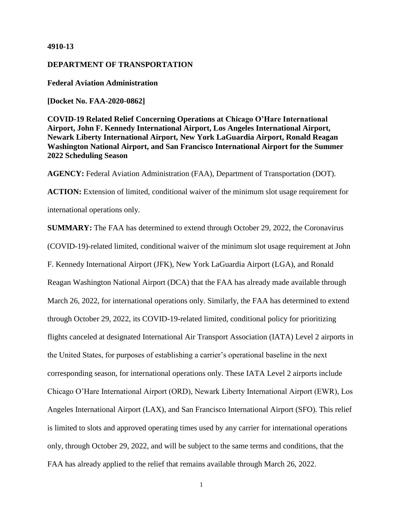#### **4910-13**

# **DEPARTMENT OF TRANSPORTATION**

**Federal Aviation Administration**

**[Docket No. FAA-2020-0862]**

**COVID-19 Related Relief Concerning Operations at Chicago O'Hare International Airport, John F. Kennedy International Airport, Los Angeles International Airport, Newark Liberty International Airport, New York LaGuardia Airport, Ronald Reagan Washington National Airport, and San Francisco International Airport for the Summer 2022 Scheduling Season**

**AGENCY:** Federal Aviation Administration (FAA), Department of Transportation (DOT).

ACTION: Extension of limited, conditional waiver of the minimum slot usage requirement for international operations only.

**SUMMARY:** The FAA has determined to extend through October 29, 2022, the Coronavirus (COVID-19)-related limited, conditional waiver of the minimum slot usage requirement at John F. Kennedy International Airport (JFK), New York LaGuardia Airport (LGA), and Ronald Reagan Washington National Airport (DCA) that the FAA has already made available through March 26, 2022, for international operations only. Similarly, the FAA has determined to extend through October 29, 2022, its COVID-19-related limited, conditional policy for prioritizing flights canceled at designated International Air Transport Association (IATA) Level 2 airports in the United States, for purposes of establishing a carrier's operational baseline in the next corresponding season, for international operations only. These IATA Level 2 airports include Chicago O'Hare International Airport (ORD), Newark Liberty International Airport (EWR), Los Angeles International Airport (LAX), and San Francisco International Airport (SFO). This relief is limited to slots and approved operating times used by any carrier for international operations only, through October 29, 2022, and will be subject to the same terms and conditions, that the FAA has already applied to the relief that remains available through March 26, 2022.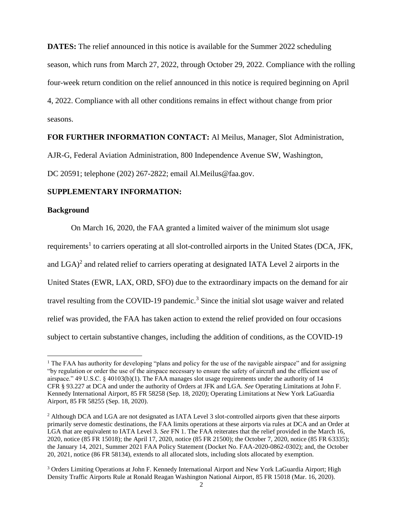**DATES:** The relief announced in this notice is available for the Summer 2022 scheduling season, which runs from March 27, 2022, through October 29, 2022. Compliance with the rolling four-week return condition on the relief announced in this notice is required beginning on April 4, 2022. Compliance with all other conditions remains in effect without change from prior seasons.

#### **FOR FURTHER INFORMATION CONTACT:** Al Meilus, Manager, Slot Administration,

AJR-G, Federal Aviation Administration, 800 Independence Avenue SW, Washington,

DC 20591; telephone (202) 267-2822; email Al.Meilus@faa.gov.

# **SUPPLEMENTARY INFORMATION:**

## **Background**

 $\overline{a}$ 

On March 16, 2020, the FAA granted a limited waiver of the minimum slot usage requirements<sup>1</sup> to carriers operating at all slot-controlled airports in the United States (DCA, JFK, and  $LGA$ <sup>2</sup> and related relief to carriers operating at designated IATA Level 2 airports in the United States (EWR, LAX, ORD, SFO) due to the extraordinary impacts on the demand for air travel resulting from the COVID-19 pandemic.<sup>3</sup> Since the initial slot usage waiver and related relief was provided, the FAA has taken action to extend the relief provided on four occasions subject to certain substantive changes, including the addition of conditions, as the COVID-19

<sup>&</sup>lt;sup>1</sup> The FAA has authority for developing "plans and policy for the use of the navigable airspace" and for assigning "by regulation or order the use of the airspace necessary to ensure the safety of aircraft and the efficient use of airspace." 49 U.S.C. § 40103(b)(1). The FAA manages slot usage requirements under the authority of 14 CFR § 93.227 at DCA and under the authority of Orders at JFK and LGA. *See* Operating Limitations at John F. Kennedy International Airport, 85 FR 58258 (Sep. 18, 2020); Operating Limitations at New York LaGuardia Airport, 85 FR 58255 (Sep. 18, 2020).

<sup>2</sup> Although DCA and LGA are not designated as IATA Level 3 slot-controlled airports given that these airports primarily serve domestic destinations, the FAA limits operations at these airports via rules at DCA and an Order at LGA that are equivalent to IATA Level 3. *See* FN 1. The FAA reiterates that the relief provided in the March 16, 2020, notice (85 FR 15018); the April 17, 2020, notice (85 FR 21500); the October 7, 2020, notice (85 FR 63335); the January 14, 2021, Summer 2021 FAA Policy Statement (Docket No. FAA-2020-0862-0302); and, the October 20, 2021, notice (86 FR 58134), extends to all allocated slots, including slots allocated by exemption.

<sup>&</sup>lt;sup>3</sup> Orders Limiting Operations at John F. Kennedy International Airport and New York LaGuardia Airport; High Density Traffic Airports Rule at Ronald Reagan Washington National Airport, 85 FR 15018 (Mar. 16, 2020).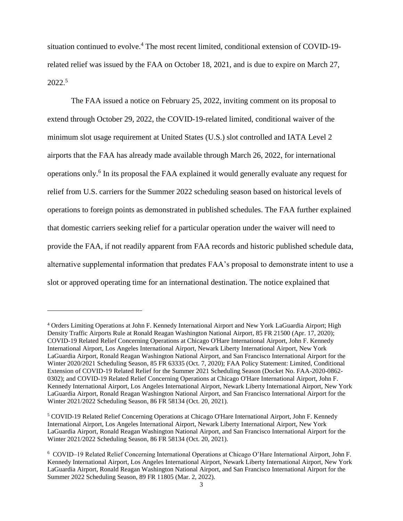situation continued to evolve.<sup>4</sup> The most recent limited, conditional extension of COVID-19related relief was issued by the FAA on October 18, 2021, and is due to expire on March 27, 2022.<sup>5</sup>

The FAA issued a notice on February 25, 2022, inviting comment on its proposal to extend through October 29, 2022, the COVID-19-related limited, conditional waiver of the minimum slot usage requirement at United States (U.S.) slot controlled and IATA Level 2 airports that the FAA has already made available through March 26, 2022, for international operations only.<sup>6</sup> In its proposal the FAA explained it would generally evaluate any request for relief from U.S. carriers for the Summer 2022 scheduling season based on historical levels of operations to foreign points as demonstrated in published schedules. The FAA further explained that domestic carriers seeking relief for a particular operation under the waiver will need to provide the FAA, if not readily apparent from FAA records and historic published schedule data, alternative supplemental information that predates FAA's proposal to demonstrate intent to use a slot or approved operating time for an international destination. The notice explained that

<sup>4</sup> Orders Limiting Operations at John F. Kennedy International Airport and New York LaGuardia Airport; High Density Traffic Airports Rule at Ronald Reagan Washington National Airport, 85 FR 21500 (Apr. 17, 2020); COVID-19 Related Relief Concerning Operations at Chicago O'Hare International Airport, John F. Kennedy International Airport, Los Angeles International Airport, Newark Liberty International Airport, New York LaGuardia Airport, Ronald Reagan Washington National Airport, and San Francisco International Airport for the Winter 2020/2021 Scheduling Season, 85 FR 63335 (Oct. 7, 2020); FAA Policy Statement: Limited, Conditional Extension of COVID-19 Related Relief for the Summer 2021 Scheduling Season (Docket No. FAA-2020-0862- 0302); and COVID-19 Related Relief Concerning Operations at Chicago O'Hare International Airport, John F. Kennedy International Airport, Los Angeles International Airport, Newark Liberty International Airport, New York LaGuardia Airport, Ronald Reagan Washington National Airport, and San Francisco International Airport for the Winter 2021/2022 Scheduling Season, 86 FR 58134 (Oct. 20, 2021).

<sup>5</sup> COVID-19 Related Relief Concerning Operations at Chicago O'Hare International Airport, John F. Kennedy International Airport, Los Angeles International Airport, Newark Liberty International Airport, New York LaGuardia Airport, Ronald Reagan Washington National Airport, and San Francisco International Airport for the Winter 2021/2022 Scheduling Season, 86 FR 58134 (Oct. 20, 2021).

<sup>6</sup> COVID–19 Related Relief Concerning International Operations at Chicago O'Hare International Airport, John F. Kennedy International Airport, Los Angeles International Airport, Newark Liberty International Airport, New York LaGuardia Airport, Ronald Reagan Washington National Airport, and San Francisco International Airport for the Summer 2022 Scheduling Season, 89 FR 11805 (Mar. 2, 2022).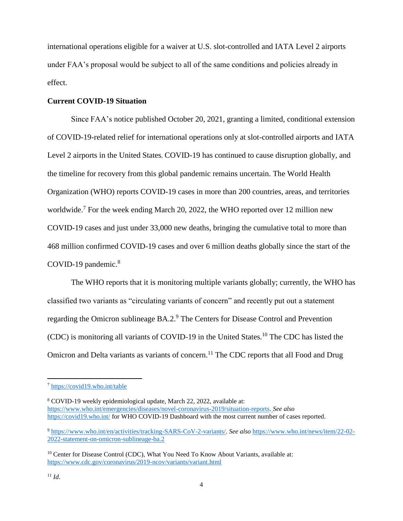international operations eligible for a waiver at U.S. slot-controlled and IATA Level 2 airports under FAA's proposal would be subject to all of the same conditions and policies already in effect.

## **Current COVID-19 Situation**

Since FAA's notice published October 20, 2021, granting a limited, conditional extension of COVID-19-related relief for international operations only at slot-controlled airports and IATA Level 2 airports in the United States, COVID-19 has continued to cause disruption globally, and the timeline for recovery from this global pandemic remains uncertain. The World Health Organization (WHO) reports COVID-19 cases in more than 200 countries, areas, and territories worldwide.<sup>7</sup> For the week ending March 20, 2022, the WHO reported over 12 million new COVID-19 cases and just under 33,000 new deaths, bringing the cumulative total to more than 468 million confirmed COVID-19 cases and over 6 million deaths globally since the start of the COVID-19 pandemic.<sup>8</sup>

The WHO reports that it is monitoring multiple variants globally; currently, the WHO has classified two variants as "circulating variants of concern" and recently put out a statement regarding the Omicron sublineage BA.2.<sup>9</sup> The Centers for Disease Control and Prevention (CDC) is monitoring all variants of COVID-19 in the United States.<sup>10</sup> The CDC has listed the Omicron and Delta variants as variants of concern.<sup>11</sup> The CDC reports that all Food and Drug

<sup>8</sup> COVID-19 weekly epidemiological update, March 22, 2022, available at: [https://www.who.int/emergencies/diseases/novel-coronavirus-2019/situation-reports.](https://www.who.int/emergencies/diseases/novel-coronavirus-2019/situation-reports) *See also* <https://covid19.who.int/> for WHO COVID-19 Dashboard with the most current number of cases reported.

<sup>7</sup> <https://covid19.who.int/table>

<sup>9</sup> [https://www.who.int/en/activities/tracking-SARS-CoV-2-variants/.](https://www.who.int/en/activities/tracking-SARS-CoV-2-variants/) *See also* [https://www.who.int/news/item/22-02-](https://www.who.int/news/item/22-02-2022-statement-on-omicron-sublineage-ba.2) [2022-statement-on-omicron-sublineage-ba.2](https://www.who.int/news/item/22-02-2022-statement-on-omicron-sublineage-ba.2)

<sup>&</sup>lt;sup>10</sup> Center for Disease Control (CDC), What You Need To Know About Variants, available at: <https://www.cdc.gov/coronavirus/2019-ncov/variants/variant.html>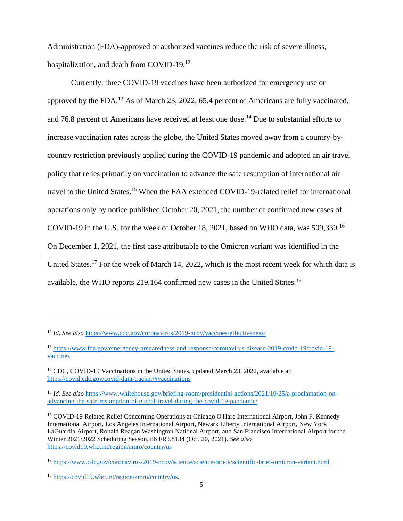Administration (FDA)-approved or authorized vaccines reduce the risk of severe illness, hospitalization, and death from COVID-19.<sup>12</sup>

Currently, three COVID-19 vaccines have been authorized for emergency use or approved by the FDA.<sup>13</sup> As of March 23, 2022, 65.4 percent of Americans are fully vaccinated, and 76.8 percent of Americans have received at least one dose.<sup>14</sup> Due to substantial efforts to increase vaccination rates across the globe, the United States moved away from a country-bycountry restriction previously applied during the COVID-19 pandemic and adopted an air travel policy that relies primarily on vaccination to advance the safe resumption of international air travel to the United States.<sup>15</sup> When the FAA extended COVID-19-related relief for international operations only by notice published October 20, 2021, the number of confirmed new cases of COVID-19 in the U.S. for the week of October 18, 2021, based on WHO data, was 509,330.<sup>16</sup> On December 1, 2021, the first case attributable to the Omicron variant was identified in the United States.<sup>17</sup> For the week of March 14, 2022, which is the most recent week for which data is available, the WHO reports 219,164 confirmed new cases in the United States.<sup>18</sup>

<sup>12</sup> *Id. See also* <https://www.cdc.gov/coronavirus/2019-ncov/vaccines/effectiveness/>

<sup>13</sup> [https://www.fda.gov/emergency-preparedness-and-response/coronavirus-disease-2019-covid-19/covid-19](https://www.fda.gov/emergency-preparedness-and-response/coronavirus-disease-2019-covid-19/covid-19-vaccines) [vaccines](https://www.fda.gov/emergency-preparedness-and-response/coronavirus-disease-2019-covid-19/covid-19-vaccines)

<sup>&</sup>lt;sup>14</sup> CDC, COVID-19 Vaccinations in the United States, updated March 23, 2022, available at: <https://covid.cdc.gov/covid-data-tracker/#vaccinations>

<sup>15</sup> *Id*. *See also* [https://www.whitehouse.gov/briefing-room/presidential-actions/2021/10/25/a-proclamation-on](https://www.whitehouse.gov/briefing-room/presidential-actions/2021/10/25/a-proclamation-on-advancing-the-safe-resumption-of-global-travel-during-the-covid-19-pandemic/)[advancing-the-safe-resumption-of-global-travel-during-the-covid-19-pandemic/](https://www.whitehouse.gov/briefing-room/presidential-actions/2021/10/25/a-proclamation-on-advancing-the-safe-resumption-of-global-travel-during-the-covid-19-pandemic/)

<sup>16</sup> COVID-19 Related Relief Concerning Operations at Chicago O'Hare International Airport, John F. Kennedy International Airport, Los Angeles International Airport, Newark Liberty International Airport, New York LaGuardia Airport, Ronald Reagan Washington National Airport, and San Francisco International Airport for the Winter 2021/2022 Scheduling Season, 86 FR 58134 (Oct. 20, 2021). *See also*  <https://covid19.who.int/region/amro/country/us>

<sup>17</sup> <https://www.cdc.gov/coronavirus/2019-ncov/science/science-briefs/scientific-brief-omicron-variant.html>

<sup>18</sup> [https://covid19.who.int/region/amro/country/us.](https://covid19.who.int/region/amro/country/us)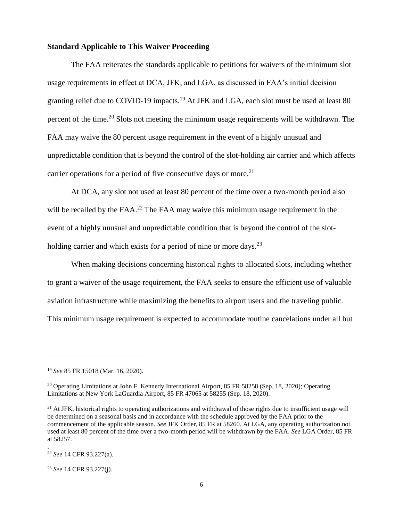#### **Standard Applicable to This Waiver Proceeding**

The FAA reiterates the standards applicable to petitions for waivers of the minimum slot usage requirements in effect at DCA, JFK, and LGA, as discussed in FAA's initial decision granting relief due to COVID-19 impacts.<sup>19</sup> At JFK and LGA, each slot must be used at least 80 percent of the time.<sup>20</sup> Slots not meeting the minimum usage requirements will be withdrawn. The FAA may waive the 80 percent usage requirement in the event of a highly unusual and unpredictable condition that is beyond the control of the slot-holding air carrier and which affects carrier operations for a period of five consecutive days or more.<sup>21</sup>

At DCA, any slot not used at least 80 percent of the time over a two-month period also will be recalled by the FAA.<sup>22</sup> The FAA may waive this minimum usage requirement in the event of a highly unusual and unpredictable condition that is beyond the control of the slotholding carrier and which exists for a period of nine or more days.<sup>23</sup>

When making decisions concerning historical rights to allocated slots, including whether to grant a waiver of the usage requirement, the FAA seeks to ensure the efficient use of valuable aviation infrastructure while maximizing the benefits to airport users and the traveling public. This minimum usage requirement is expected to accommodate routine cancelations under all but

 $\overline{a}$ 

.

 $21$  At JFK, historical rights to operating authorizations and withdrawal of those rights due to insufficient usage will be determined on a seasonal basis and in accordance with the schedule approved by the FAA prior to the commencement of the applicable season. *See* JFK Order, 85 FR at 58260. At LGA, any operating authorization not used at least 80 percent of the time over a two-month period will be withdrawn by the FAA. *See* LGA Order, 85 FR at 58257.

<sup>22</sup> *See* 14 CFR 93.227(a).

<sup>23</sup> *See* 14 CFR 93.227(j).

<sup>19</sup> *See* 85 FR 15018 (Mar. 16, 2020).

<sup>&</sup>lt;sup>20</sup> Operating Limitations at John F. Kennedy International Airport, 85 FR 58258 (Sep. 18, 2020); Operating Limitations at New York LaGuardia Airport, 85 FR 47065 at 58255 (Sep. 18, 2020).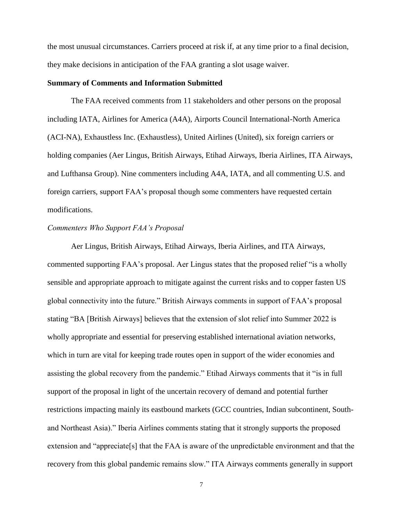the most unusual circumstances. Carriers proceed at risk if, at any time prior to a final decision, they make decisions in anticipation of the FAA granting a slot usage waiver.

#### **Summary of Comments and Information Submitted**

The FAA received comments from 11 stakeholders and other persons on the proposal including IATA, Airlines for America (A4A), Airports Council International-North America (ACI-NA), Exhaustless Inc. (Exhaustless), United Airlines (United), six foreign carriers or holding companies (Aer Lingus, British Airways, Etihad Airways, Iberia Airlines, ITA Airways, and Lufthansa Group). Nine commenters including A4A, IATA, and all commenting U.S. and foreign carriers, support FAA's proposal though some commenters have requested certain modifications.

## *Commenters Who Support FAA's Proposal*

Aer Lingus, British Airways, Etihad Airways, Iberia Airlines, and ITA Airways, commented supporting FAA's proposal. Aer Lingus states that the proposed relief "is a wholly sensible and appropriate approach to mitigate against the current risks and to copper fasten US global connectivity into the future." British Airways comments in support of FAA's proposal stating "BA [British Airways] believes that the extension of slot relief into Summer 2022 is wholly appropriate and essential for preserving established international aviation networks, which in turn are vital for keeping trade routes open in support of the wider economies and assisting the global recovery from the pandemic." Etihad Airways comments that it "is in full support of the proposal in light of the uncertain recovery of demand and potential further restrictions impacting mainly its eastbound markets (GCC countries, Indian subcontinent, Southand Northeast Asia)." Iberia Airlines comments stating that it strongly supports the proposed extension and "appreciate[s] that the FAA is aware of the unpredictable environment and that the recovery from this global pandemic remains slow." ITA Airways comments generally in support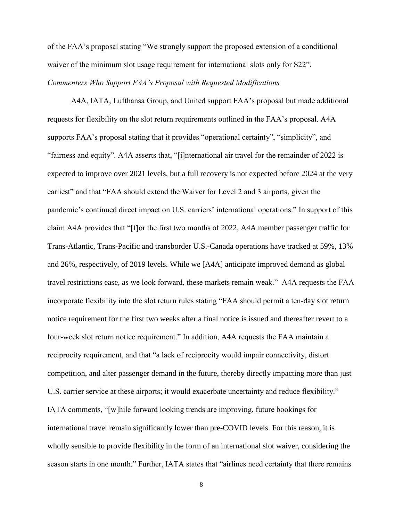of the FAA's proposal stating "We strongly support the proposed extension of a conditional waiver of the minimum slot usage requirement for international slots only for S22".

# *Commenters Who Support FAA's Proposal with Requested Modifications*

A4A, IATA, Lufthansa Group, and United support FAA's proposal but made additional requests for flexibility on the slot return requirements outlined in the FAA's proposal. A4A supports FAA's proposal stating that it provides "operational certainty", "simplicity", and "fairness and equity". A4A asserts that, "[i]nternational air travel for the remainder of 2022 is expected to improve over 2021 levels, but a full recovery is not expected before 2024 at the very earliest" and that "FAA should extend the Waiver for Level 2 and 3 airports, given the pandemic's continued direct impact on U.S. carriers' international operations." In support of this claim A4A provides that "[f]or the first two months of 2022, A4A member passenger traffic for Trans-Atlantic, Trans-Pacific and transborder U.S.-Canada operations have tracked at 59%, 13% and 26%, respectively, of 2019 levels. While we [A4A] anticipate improved demand as global travel restrictions ease, as we look forward, these markets remain weak." A4A requests the FAA incorporate flexibility into the slot return rules stating "FAA should permit a ten-day slot return notice requirement for the first two weeks after a final notice is issued and thereafter revert to a four-week slot return notice requirement." In addition, A4A requests the FAA maintain a reciprocity requirement, and that "a lack of reciprocity would impair connectivity, distort competition, and alter passenger demand in the future, thereby directly impacting more than just U.S. carrier service at these airports; it would exacerbate uncertainty and reduce flexibility." IATA comments, "[w]hile forward looking trends are improving, future bookings for international travel remain significantly lower than pre-COVID levels. For this reason, it is wholly sensible to provide flexibility in the form of an international slot waiver, considering the season starts in one month." Further, IATA states that "airlines need certainty that there remains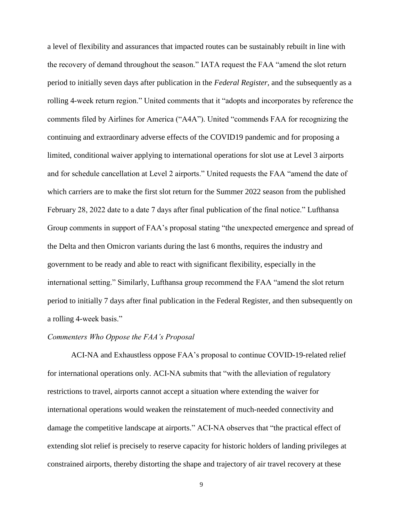a level of flexibility and assurances that impacted routes can be sustainably rebuilt in line with the recovery of demand throughout the season." IATA request the FAA "amend the slot return period to initially seven days after publication in the *Federal Register,* and the subsequently as a rolling 4-week return region." United comments that it "adopts and incorporates by reference the comments filed by Airlines for America ("A4A"). United "commends FAA for recognizing the continuing and extraordinary adverse effects of the COVID19 pandemic and for proposing a limited, conditional waiver applying to international operations for slot use at Level 3 airports and for schedule cancellation at Level 2 airports." United requests the FAA "amend the date of which carriers are to make the first slot return for the Summer 2022 season from the published February 28, 2022 date to a date 7 days after final publication of the final notice." Lufthansa Group comments in support of FAA's proposal stating "the unexpected emergence and spread of the Delta and then Omicron variants during the last 6 months, requires the industry and government to be ready and able to react with significant flexibility, especially in the international setting." Similarly, Lufthansa group recommend the FAA "amend the slot return period to initially 7 days after final publication in the Federal Register, and then subsequently on a rolling 4-week basis."

## *Commenters Who Oppose the FAA's Proposal*

ACI-NA and Exhaustless oppose FAA's proposal to continue COVID-19-related relief for international operations only. ACI-NA submits that "with the alleviation of regulatory restrictions to travel, airports cannot accept a situation where extending the waiver for international operations would weaken the reinstatement of much-needed connectivity and damage the competitive landscape at airports." ACI-NA observes that "the practical effect of extending slot relief is precisely to reserve capacity for historic holders of landing privileges at constrained airports, thereby distorting the shape and trajectory of air travel recovery at these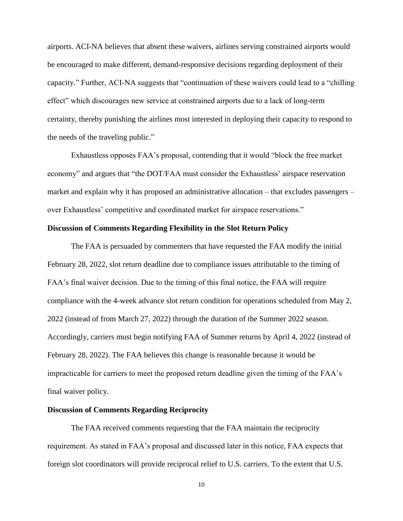airports. ACI-NA believes that absent these waivers, airlines serving constrained airports would be encouraged to make different, demand-responsive decisions regarding deployment of their capacity." Further, ACI-NA suggests that "continuation of these waivers could lead to a "chilling effect" which discourages new service at constrained airports due to a lack of long-term certainty, thereby punishing the airlines most interested in deploying their capacity to respond to the needs of the traveling public."

Exhaustless opposes FAA's proposal, contending that it would "block the free market economy" and argues that "the DOT/FAA must consider the Exhaustless' airspace reservation market and explain why it has proposed an administrative allocation – that excludes passengers – over Exhaustless' competitive and coordinated market for airspace reservations."

# **Discussion of Comments Regarding Flexibility in the Slot Return Policy**

The FAA is persuaded by commenters that have requested the FAA modify the initial February 28, 2022, slot return deadline due to compliance issues attributable to the timing of FAA's final waiver decision. Due to the timing of this final notice, the FAA will require compliance with the 4-week advance slot return condition for operations scheduled from May 2, 2022 (instead of from March 27, 2022) through the duration of the Summer 2022 season. Accordingly, carriers must begin notifying FAA of Summer returns by April 4, 2022 (instead of February 28, 2022). The FAA believes this change is reasonable because it would be impracticable for carriers to meet the proposed return deadline given the timing of the FAA's final waiver policy.

## **Discussion of Comments Regarding Reciprocity**

The FAA received comments requesting that the FAA maintain the reciprocity requirement. As stated in FAA's proposal and discussed later in this notice, FAA expects that foreign slot coordinators will provide reciprocal relief to U.S. carriers. To the extent that U.S.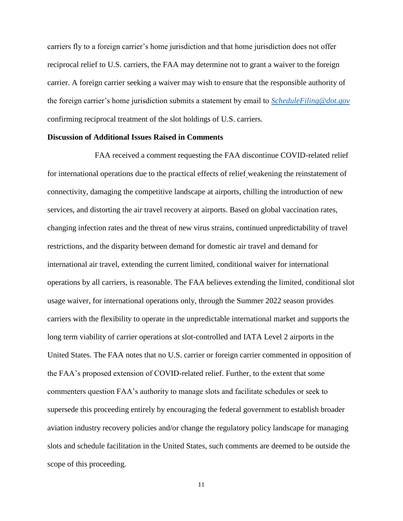carriers fly to a foreign carrier's home jurisdiction and that home jurisdiction does not offer reciprocal relief to U.S. carriers, the FAA may determine not to grant a waiver to the foreign carrier. A foreign carrier seeking a waiver may wish to ensure that the responsible authority of the foreign carrier's home jurisdiction submits a statement by email to *[ScheduleFiling@dot.gov](mailto:ScheduleFiling@dot.gov)* confirming reciprocal treatment of the slot holdings of U.S. carriers.

#### **Discussion of Additional Issues Raised in Comments**

FAA received a comment requesting the FAA discontinue COVID-related relief for international operations due to the practical effects of relief weakening the reinstatement of connectivity, damaging the competitive landscape at airports, chilling the introduction of new services, and distorting the air travel recovery at airports. Based on global vaccination rates, changing infection rates and the threat of new virus strains, continued unpredictability of travel restrictions, and the disparity between demand for domestic air travel and demand for international air travel, extending the current limited, conditional waiver for international operations by all carriers, is reasonable. The FAA believes extending the limited, conditional slot usage waiver, for international operations only, through the Summer 2022 season provides carriers with the flexibility to operate in the unpredictable international market and supports the long term viability of carrier operations at slot-controlled and IATA Level 2 airports in the United States. The FAA notes that no U.S. carrier or foreign carrier commented in opposition of the FAA's proposed extension of COVID-related relief. Further, to the extent that some commenters question FAA's authority to manage slots and facilitate schedules or seek to supersede this proceeding entirely by encouraging the federal government to establish broader aviation industry recovery policies and/or change the regulatory policy landscape for managing slots and schedule facilitation in the United States, such comments are deemed to be outside the scope of this proceeding.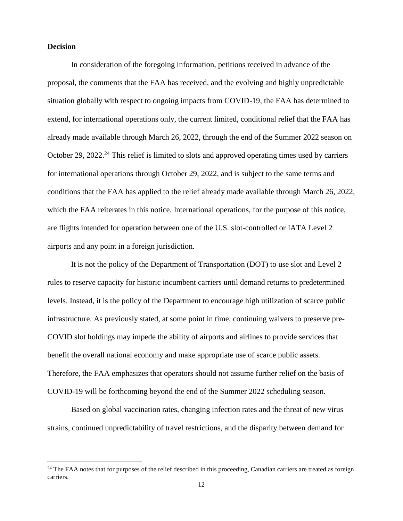## **Decision**

 $\overline{a}$ 

In consideration of the foregoing information, petitions received in advance of the proposal, the comments that the FAA has received, and the evolving and highly unpredictable situation globally with respect to ongoing impacts from COVID-19, the FAA has determined to extend, for international operations only, the current limited, conditional relief that the FAA has already made available through March 26, 2022, through the end of the Summer 2022 season on October 29, 2022.<sup>24</sup> This relief is limited to slots and approved operating times used by carriers for international operations through October 29, 2022, and is subject to the same terms and conditions that the FAA has applied to the relief already made available through March 26, 2022, which the FAA reiterates in this notice. International operations, for the purpose of this notice, are flights intended for operation between one of the U.S. slot-controlled or IATA Level 2 airports and any point in a foreign jurisdiction.

It is not the policy of the Department of Transportation (DOT) to use slot and Level 2 rules to reserve capacity for historic incumbent carriers until demand returns to predetermined levels. Instead, it is the policy of the Department to encourage high utilization of scarce public infrastructure. As previously stated, at some point in time, continuing waivers to preserve pre-COVID slot holdings may impede the ability of airports and airlines to provide services that benefit the overall national economy and make appropriate use of scarce public assets. Therefore, the FAA emphasizes that operators should not assume further relief on the basis of COVID-19 will be forthcoming beyond the end of the Summer 2022 scheduling season.

Based on global vaccination rates, changing infection rates and the threat of new virus strains, continued unpredictability of travel restrictions, and the disparity between demand for

<sup>&</sup>lt;sup>24</sup> The FAA notes that for purposes of the relief described in this proceeding, Canadian carriers are treated as foreign carriers.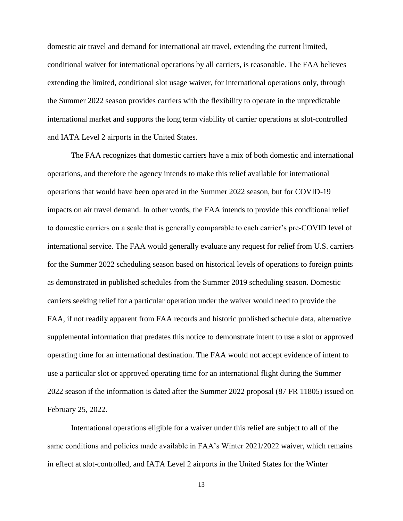domestic air travel and demand for international air travel, extending the current limited, conditional waiver for international operations by all carriers, is reasonable. The FAA believes extending the limited, conditional slot usage waiver, for international operations only, through the Summer 2022 season provides carriers with the flexibility to operate in the unpredictable international market and supports the long term viability of carrier operations at slot-controlled and IATA Level 2 airports in the United States.

The FAA recognizes that domestic carriers have a mix of both domestic and international operations, and therefore the agency intends to make this relief available for international operations that would have been operated in the Summer 2022 season, but for COVID-19 impacts on air travel demand. In other words, the FAA intends to provide this conditional relief to domestic carriers on a scale that is generally comparable to each carrier's pre-COVID level of international service. The FAA would generally evaluate any request for relief from U.S. carriers for the Summer 2022 scheduling season based on historical levels of operations to foreign points as demonstrated in published schedules from the Summer 2019 scheduling season. Domestic carriers seeking relief for a particular operation under the waiver would need to provide the FAA, if not readily apparent from FAA records and historic published schedule data, alternative supplemental information that predates this notice to demonstrate intent to use a slot or approved operating time for an international destination. The FAA would not accept evidence of intent to use a particular slot or approved operating time for an international flight during the Summer 2022 season if the information is dated after the Summer 2022 proposal (87 FR 11805) issued on February 25, 2022.

International operations eligible for a waiver under this relief are subject to all of the same conditions and policies made available in FAA's Winter 2021/2022 waiver, which remains in effect at slot-controlled, and IATA Level 2 airports in the United States for the Winter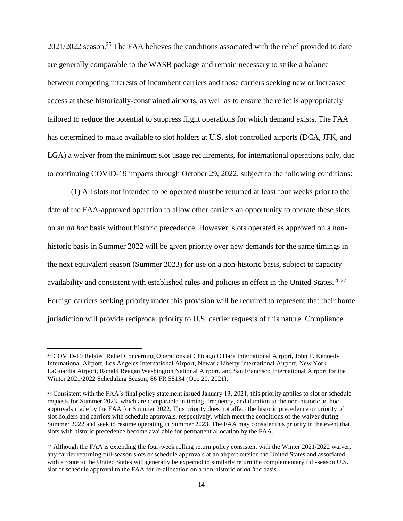2021/2022 season.<sup>25</sup> The FAA believes the conditions associated with the relief provided to date are generally comparable to the WASB package and remain necessary to strike a balance between competing interests of incumbent carriers and those carriers seeking new or increased access at these historically-constrained airports, as well as to ensure the relief is appropriately tailored to reduce the potential to suppress flight operations for which demand exists. The FAA has determined to make available to slot holders at U.S. slot-controlled airports (DCA, JFK, and LGA) a waiver from the minimum slot usage requirements, for international operations only, due to continuing COVID-19 impacts through October 29, 2022, subject to the following conditions:

(1) All slots not intended to be operated must be returned at least four weeks prior to the date of the FAA-approved operation to allow other carriers an opportunity to operate these slots on an *ad hoc* basis without historic precedence. However, slots operated as approved on a nonhistoric basis in Summer 2022 will be given priority over new demands for the same timings in the next equivalent season (Summer 2023) for use on a non-historic basis, subject to capacity availability and consistent with established rules and policies in effect in the United States.<sup>26,27</sup> Foreign carriers seeking priority under this provision will be required to represent that their home jurisdiction will provide reciprocal priority to U.S. carrier requests of this nature. Compliance

<sup>&</sup>lt;sup>25</sup> COVID-19 Related Relief Concerning Operations at Chicago O'Hare International Airport, John F. Kennedy International Airport, Los Angeles International Airport, Newark Liberty International Airport, New York LaGuardia Airport, Ronald Reagan Washington National Airport, and San Francisco International Airport for the Winter 2021/2022 Scheduling Season, 86 FR 58134 (Oct. 20, 2021).

 $26$  Consistent with the FAA's final policy statement issued January 13, 2021, this priority applies to slot or schedule requests for Summer 2023, which are comparable in timing, frequency, and duration to the non-historic ad hoc approvals made by the FAA for Summer 2022. This priority does not affect the historic precedence or priority of slot holders and carriers with schedule approvals, respectively, which meet the conditions of the waiver during Summer 2022 and seek to resume operating in Summer 2023. The FAA may consider this priority in the event that slots with historic precedence become available for permanent allocation by the FAA.

<sup>&</sup>lt;sup>27</sup> Although the FAA is extending the four-week rolling return policy consistent with the Winter 2021/2022 waiver, any carrier returning full-season slots or schedule approvals at an airport outside the United States and associated with a route to the United States will generally be expected to similarly return the complementary full-season U.S. slot or schedule approval to the FAA for re-allocation on a non-historic or *ad hoc* basis.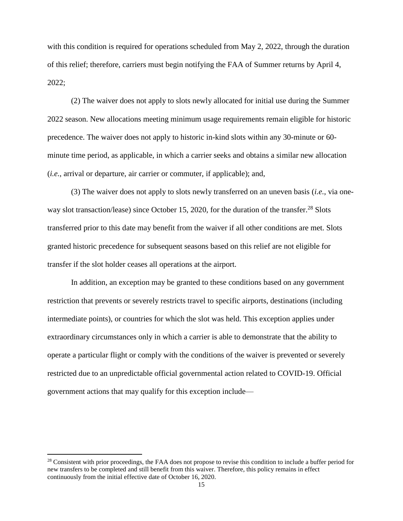with this condition is required for operations scheduled from May 2, 2022, through the duration of this relief; therefore, carriers must begin notifying the FAA of Summer returns by April 4, 2022;

(2) The waiver does not apply to slots newly allocated for initial use during the Summer 2022 season. New allocations meeting minimum usage requirements remain eligible for historic precedence. The waiver does not apply to historic in-kind slots within any 30-minute or 60 minute time period, as applicable, in which a carrier seeks and obtains a similar new allocation (*i.e.*, arrival or departure, air carrier or commuter, if applicable); and,

(3) The waiver does not apply to slots newly transferred on an uneven basis (*i.e.*, via oneway slot transaction/lease) since October 15, 2020, for the duration of the transfer.<sup>28</sup> Slots transferred prior to this date may benefit from the waiver if all other conditions are met. Slots granted historic precedence for subsequent seasons based on this relief are not eligible for transfer if the slot holder ceases all operations at the airport.

In addition, an exception may be granted to these conditions based on any government restriction that prevents or severely restricts travel to specific airports, destinations (including intermediate points), or countries for which the slot was held. This exception applies under extraordinary circumstances only in which a carrier is able to demonstrate that the ability to operate a particular flight or comply with the conditions of the waiver is prevented or severely restricted due to an unpredictable official governmental action related to COVID-19. Official government actions that may qualify for this exception include—

<sup>&</sup>lt;sup>28</sup> Consistent with prior proceedings, the FAA does not propose to revise this condition to include a buffer period for new transfers to be completed and still benefit from this waiver. Therefore, this policy remains in effect continuously from the initial effective date of October 16, 2020.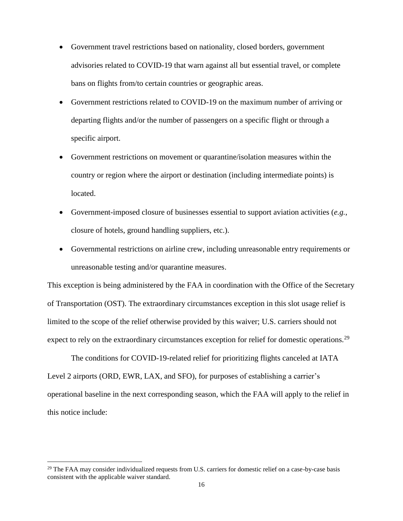- Government travel restrictions based on nationality, closed borders, government advisories related to COVID-19 that warn against all but essential travel, or complete bans on flights from/to certain countries or geographic areas.
- Government restrictions related to COVID-19 on the maximum number of arriving or departing flights and/or the number of passengers on a specific flight or through a specific airport.
- Government restrictions on movement or quarantine/isolation measures within the country or region where the airport or destination (including intermediate points) is located.
- Government-imposed closure of businesses essential to support aviation activities (*e.g.*, closure of hotels, ground handling suppliers, etc.).
- Governmental restrictions on airline crew, including unreasonable entry requirements or unreasonable testing and/or quarantine measures.

This exception is being administered by the FAA in coordination with the Office of the Secretary of Transportation (OST). The extraordinary circumstances exception in this slot usage relief is limited to the scope of the relief otherwise provided by this waiver; U.S. carriers should not expect to rely on the extraordinary circumstances exception for relief for domestic operations.<sup>29</sup>

The conditions for COVID-19-related relief for prioritizing flights canceled at IATA Level 2 airports (ORD, EWR, LAX, and SFO), for purposes of establishing a carrier's operational baseline in the next corresponding season, which the FAA will apply to the relief in this notice include:

<sup>&</sup>lt;sup>29</sup> The FAA may consider individualized requests from U.S. carriers for domestic relief on a case-by-case basis consistent with the applicable waiver standard.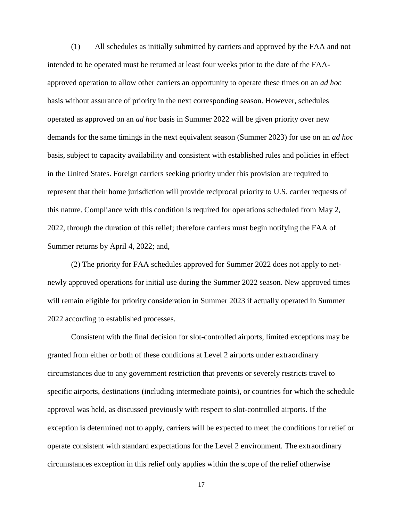(1) All schedules as initially submitted by carriers and approved by the FAA and not intended to be operated must be returned at least four weeks prior to the date of the FAAapproved operation to allow other carriers an opportunity to operate these times on an *ad hoc* basis without assurance of priority in the next corresponding season. However, schedules operated as approved on an *ad hoc* basis in Summer 2022 will be given priority over new demands for the same timings in the next equivalent season (Summer 2023) for use on an *ad hoc*  basis, subject to capacity availability and consistent with established rules and policies in effect in the United States. Foreign carriers seeking priority under this provision are required to represent that their home jurisdiction will provide reciprocal priority to U.S. carrier requests of this nature. Compliance with this condition is required for operations scheduled from May 2, 2022, through the duration of this relief; therefore carriers must begin notifying the FAA of Summer returns by April 4, 2022; and,

(2) The priority for FAA schedules approved for Summer 2022 does not apply to netnewly approved operations for initial use during the Summer 2022 season. New approved times will remain eligible for priority consideration in Summer 2023 if actually operated in Summer 2022 according to established processes.

Consistent with the final decision for slot-controlled airports, limited exceptions may be granted from either or both of these conditions at Level 2 airports under extraordinary circumstances due to any government restriction that prevents or severely restricts travel to specific airports, destinations (including intermediate points), or countries for which the schedule approval was held, as discussed previously with respect to slot-controlled airports. If the exception is determined not to apply, carriers will be expected to meet the conditions for relief or operate consistent with standard expectations for the Level 2 environment. The extraordinary circumstances exception in this relief only applies within the scope of the relief otherwise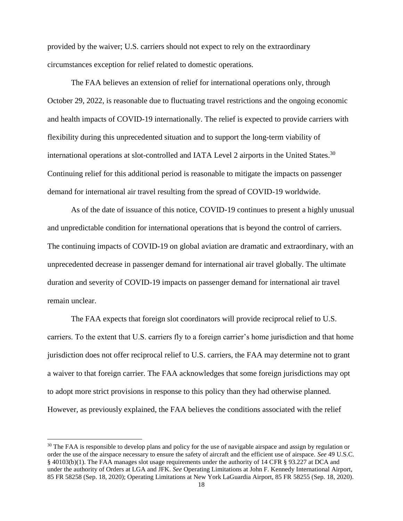provided by the waiver; U.S. carriers should not expect to rely on the extraordinary circumstances exception for relief related to domestic operations.

The FAA believes an extension of relief for international operations only, through October 29, 2022, is reasonable due to fluctuating travel restrictions and the ongoing economic and health impacts of COVID-19 internationally. The relief is expected to provide carriers with flexibility during this unprecedented situation and to support the long-term viability of international operations at slot-controlled and IATA Level 2 airports in the United States.<sup>30</sup> Continuing relief for this additional period is reasonable to mitigate the impacts on passenger demand for international air travel resulting from the spread of COVID-19 worldwide.

As of the date of issuance of this notice, COVID-19 continues to present a highly unusual and unpredictable condition for international operations that is beyond the control of carriers. The continuing impacts of COVID-19 on global aviation are dramatic and extraordinary, with an unprecedented decrease in passenger demand for international air travel globally. The ultimate duration and severity of COVID-19 impacts on passenger demand for international air travel remain unclear.

The FAA expects that foreign slot coordinators will provide reciprocal relief to U.S. carriers. To the extent that U.S. carriers fly to a foreign carrier's home jurisdiction and that home jurisdiction does not offer reciprocal relief to U.S. carriers, the FAA may determine not to grant a waiver to that foreign carrier. The FAA acknowledges that some foreign jurisdictions may opt to adopt more strict provisions in response to this policy than they had otherwise planned. However, as previously explained, the FAA believes the conditions associated with the relief

<sup>&</sup>lt;sup>30</sup> The FAA is responsible to develop plans and policy for the use of navigable airspace and assign by regulation or order the use of the airspace necessary to ensure the safety of aircraft and the efficient use of airspace. *See* 49 U.S.C. § 40103(b)(1). The FAA manages slot usage requirements under the authority of 14 CFR § 93.227 at DCA and under the authority of Orders at LGA and JFK. *See* Operating Limitations at John F. Kennedy International Airport, 85 FR 58258 (Sep. 18, 2020); Operating Limitations at New York LaGuardia Airport, 85 FR 58255 (Sep. 18, 2020).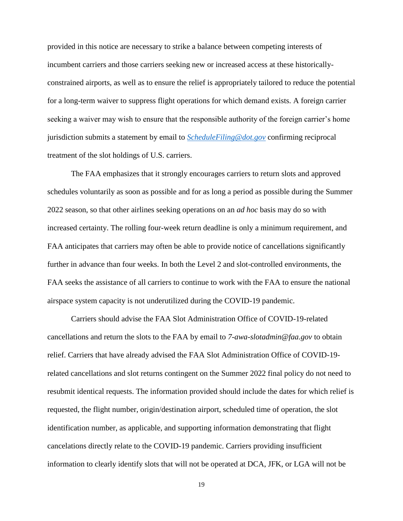provided in this notice are necessary to strike a balance between competing interests of incumbent carriers and those carriers seeking new or increased access at these historicallyconstrained airports, as well as to ensure the relief is appropriately tailored to reduce the potential for a long-term waiver to suppress flight operations for which demand exists. A foreign carrier seeking a waiver may wish to ensure that the responsible authority of the foreign carrier's home jurisdiction submits a statement by email to *[ScheduleFiling@dot.gov](mailto:ScheduleFiling@dot.gov)* confirming reciprocal treatment of the slot holdings of U.S. carriers.

The FAA emphasizes that it strongly encourages carriers to return slots and approved schedules voluntarily as soon as possible and for as long a period as possible during the Summer 2022 season, so that other airlines seeking operations on an *ad hoc* basis may do so with increased certainty. The rolling four-week return deadline is only a minimum requirement, and FAA anticipates that carriers may often be able to provide notice of cancellations significantly further in advance than four weeks. In both the Level 2 and slot-controlled environments, the FAA seeks the assistance of all carriers to continue to work with the FAA to ensure the national airspace system capacity is not underutilized during the COVID-19 pandemic.

Carriers should advise the FAA Slot Administration Office of COVID-19-related cancellations and return the slots to the FAA by email to *7-awa-slotadmin@faa.gov* to obtain relief. Carriers that have already advised the FAA Slot Administration Office of COVID-19 related cancellations and slot returns contingent on the Summer 2022 final policy do not need to resubmit identical requests. The information provided should include the dates for which relief is requested, the flight number, origin/destination airport, scheduled time of operation, the slot identification number, as applicable, and supporting information demonstrating that flight cancelations directly relate to the COVID-19 pandemic. Carriers providing insufficient information to clearly identify slots that will not be operated at DCA, JFK, or LGA will not be